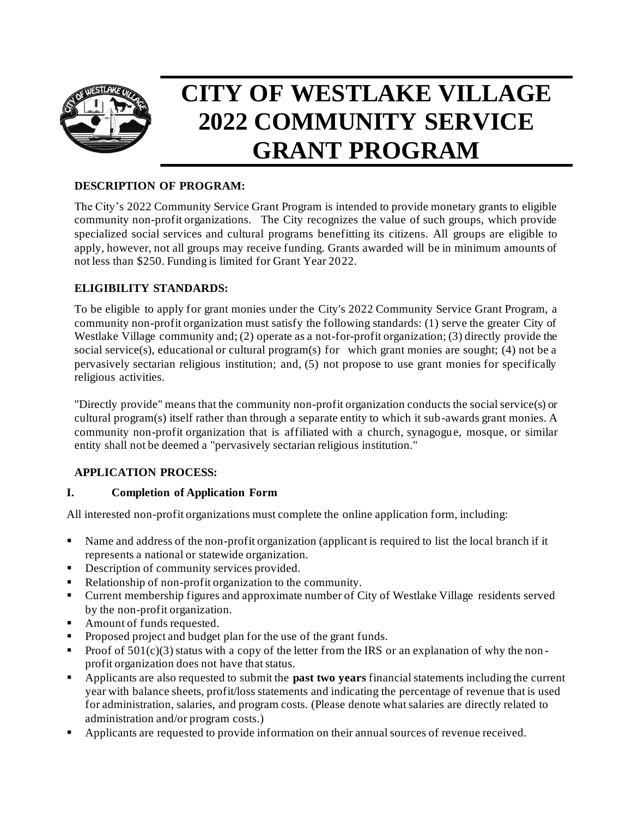

# **CITY OF WESTLAKE VILLAGE 2022 COMMUNITY SERVICE GRANT PROGRAM**

## **DESCRIPTION OF PROGRAM:**

The City's 2022 Community Service Grant Program is intended to provide monetary grants to eligible community non-profit organizations. The City recognizes the value of such groups, which provide specialized social services and cultural programs benefitting its citizens. All groups are eligible to apply, however, not all groups may receive funding. Grants awarded will be in minimum amounts of not less than \$250. Funding is limited for Grant Year 2022.

## **ELIGIBILITY STANDARDS:**

To be eligible to apply for grant monies under the City's 2022 Community Service Grant Program, a community non-profit organization must satisfy the following standards: (1) serve the greater City of Westlake Village community and; (2) operate as a not-for-profit organization; (3) directly provide the social service(s), educational or cultural program(s) for which grant monies are sought; (4) not be a pervasively sectarian religious institution; and, (5) not propose to use grant monies for specifically religious activities.

"Directly provide" means that the community non-profit organization conducts the social service(s) or cultural program(s) itself rather than through a separate entity to which it sub-awards grant monies. A community non-profit organization that is affiliated with a church, synagogue, mosque, or similar entity shall not be deemed a "pervasively sectarian religious institution."

# **APPLICATION PROCESS:**

#### **I. Completion of Application Form**

All interested non-profit organizations must complete the online application form, including:

- Name and address of the non-profit organization (applicant is required to list the local branch if it represents a national or statewide organization.
- **•** Description of community services provided.
- Relationship of non-profit organization to the community.
- Current membership figures and approximate number of City of Westlake Village residents served by the non-profit organization.
- Amount of funds requested.
- Proposed project and budget plan for the use of the grant funds.
- $\blacksquare$  Proof of 501(c)(3) status with a copy of the letter from the IRS or an explanation of why the nonprofit organization does not have that status.
- Applicants are also requested to submit the **past two years** financial statements including the current year with balance sheets, profit/loss statements and indicating the percentage of revenue that is used for administration, salaries, and program costs. (Please denote what salaries are directly related to administration and/or program costs.)
- Applicants are requested to provide information on their annual sources of revenue received.